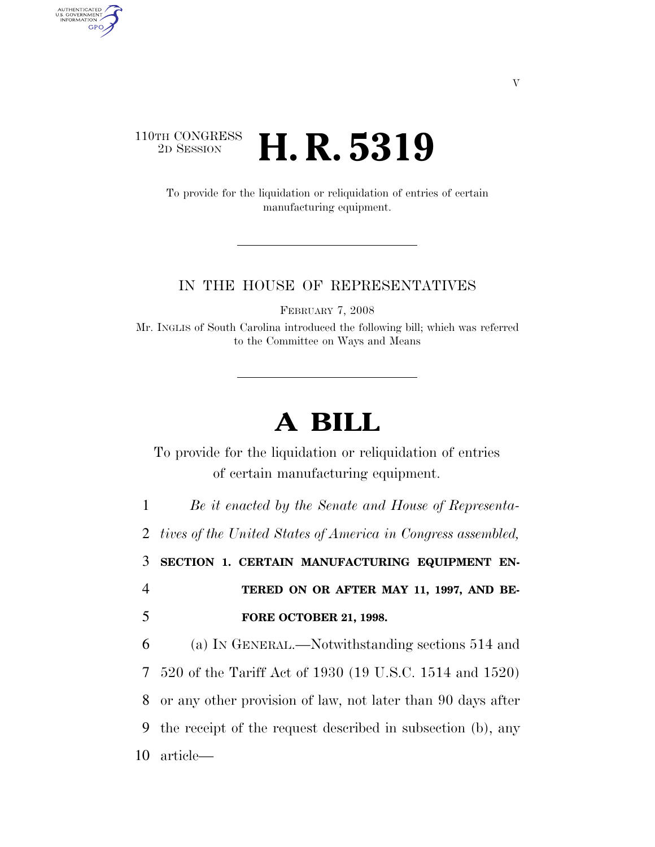## 110TH CONGRESS<br>2D SESSION 2D SESSION **H. R. 5319**

AUTHENTICATED<br>U.S. GOVERNMENT<br>INFORMATION

**GPO** 

To provide for the liquidation or reliquidation of entries of certain manufacturing equipment.

## IN THE HOUSE OF REPRESENTATIVES

FEBRUARY 7, 2008

Mr. INGLIS of South Carolina introduced the following bill; which was referred to the Committee on Ways and Means

## **A BILL**

To provide for the liquidation or reliquidation of entries of certain manufacturing equipment.

1 *Be it enacted by the Senate and House of Representa-*

2 *tives of the United States of America in Congress assembled,* 

3 **SECTION 1. CERTAIN MANUFACTURING EQUIPMENT EN-**4 **TERED ON OR AFTER MAY 11, 1997, AND BE-**5 **FORE OCTOBER 21, 1998.** 

 (a) IN GENERAL.—Notwithstanding sections 514 and 520 of the Tariff Act of 1930 (19 U.S.C. 1514 and 1520) or any other provision of law, not later than 90 days after the receipt of the request described in subsection (b), any article—